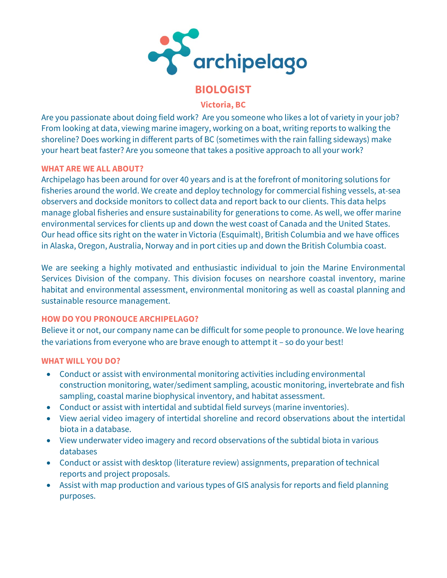

# **BIOLOGIST**

**Victoria, BC**

Are you passionate about doing field work? Are you someone who likes a lot of variety in your job? From looking at data, viewing marine imagery, working on a boat, writing reports to walking the shoreline? Does working in different parts of BC (sometimes with the rain falling sideways) make your heart beat faster? Are you someone that takes a positive approach to all your work?

# **WHAT ARE WE ALL ABOUT?**

Archipelago has been around for over 40 years and is at the forefront of monitoring solutions for fisheries around the world. We create and deploy technology for commercial fishing vessels, at-sea observers and dockside monitors to collect data and report back to our clients. This data helps manage global fisheries and ensure sustainability for generations to come. As well, we offer marine environmental services for clients up and down the west coast of Canada and the United States. Our head office sits right on the water in Victoria (Esquimalt), British Columbia and we have offices in Alaska, Oregon, Australia, Norway and in port cities up and down the British Columbia coast.

We are seeking a highly motivated and enthusiastic individual to join the Marine Environmental Services Division of the company. This division focuses on nearshore coastal inventory, marine habitat and environmental assessment, environmental monitoring as well as coastal planning and sustainable resource management.

# **HOW DO YOU PRONOUCE ARCHIPELAGO?**

Believe it or not, our company name can be difficult for some people to pronounce. We love hearing the variations from everyone who are brave enough to attempt it – so do your best!

# **WHAT WILL YOU DO?**

- Conduct or assist with environmental monitoring activities including environmental construction monitoring, water/sediment sampling, acoustic monitoring, invertebrate and fish sampling, coastal marine biophysical inventory, and habitat assessment.
- Conduct or assist with intertidal and subtidal field surveys (marine inventories).
- View aerial video imagery of intertidal shoreline and record observations about the intertidal biota in a database.
- View underwater video imagery and record observations of the subtidal biota in various databases
- Conduct or assist with desktop (literature review) assignments, preparation of technical reports and project proposals.
- Assist with map production and various types of GIS analysis for reports and field planning purposes.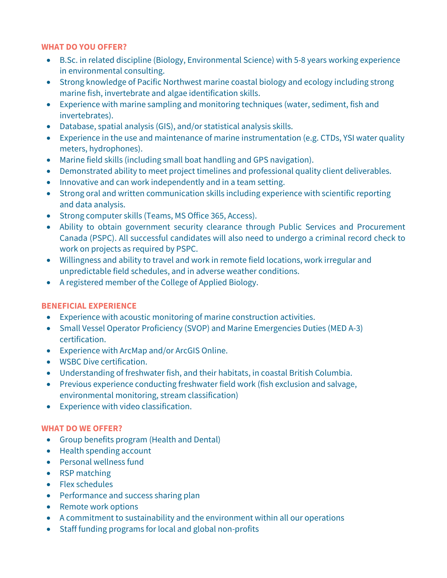#### **WHAT DO YOU OFFER?**

- B.Sc. in related discipline (Biology, Environmental Science) with 5-8 years working experience in environmental consulting.
- Strong knowledge of Pacific Northwest marine coastal biology and ecology including strong marine fish, invertebrate and algae identification skills.
- Experience with marine sampling and monitoring techniques (water, sediment, fish and invertebrates).
- Database, spatial analysis (GIS), and/or statistical analysis skills.
- Experience in the use and maintenance of marine instrumentation (e.g. CTDs, YSI water quality meters, hydrophones).
- Marine field skills (including small boat handling and GPS navigation).
- Demonstrated ability to meet project timelines and professional quality client deliverables.
- Innovative and can work independently and in a team setting.
- Strong oral and written communication skills including experience with scientific reporting and data analysis.
- Strong computer skills (Teams, MS Office 365, Access).
- Ability to obtain government security clearance through Public Services and Procurement Canada (PSPC). All successful candidates will also need to undergo a criminal record check to work on projects as required by PSPC.
- Willingness and ability to travel and work in remote field locations, work irregular and unpredictable field schedules, and in adverse weather conditions.
- A registered member of the College of Applied Biology.

# **BENEFICIAL EXPERIENCE**

- Experience with acoustic monitoring of marine construction activities.
- Small Vessel Operator Proficiency (SVOP) and Marine Emergencies Duties (MED A-3) certification.
- Experience with ArcMap and/or ArcGIS Online.
- WSBC Dive certification.
- Understanding of freshwater fish, and their habitats, in coastal British Columbia.
- Previous experience conducting freshwater field work (fish exclusion and salvage, environmental monitoring, stream classification)
- Experience with video classification.

# **WHAT DO WE OFFER?**

- Group benefits program (Health and Dental)
- Health spending account
- Personal wellness fund
- RSP matching
- Flex schedules
- Performance and success sharing plan
- Remote work options
- A commitment to sustainability and the environment within all our operations
- Staff funding programs for local and global non-profits